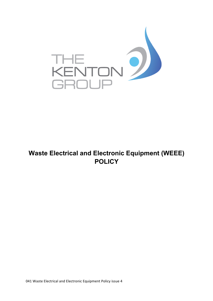

## **Waste Electrical and Electronic Equipment (WEEE) POLICY**